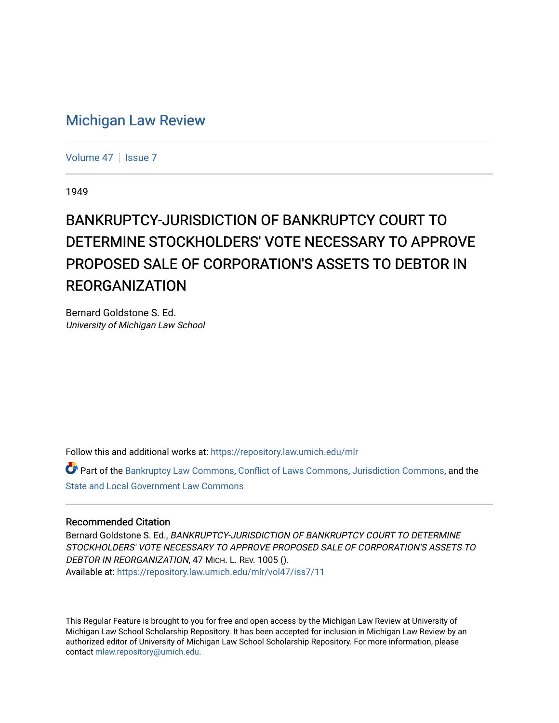## [Michigan Law Review](https://repository.law.umich.edu/mlr)

[Volume 47](https://repository.law.umich.edu/mlr/vol47) | [Issue 7](https://repository.law.umich.edu/mlr/vol47/iss7)

1949

## BANKRUPTCY-JURISDICTION OF BANKRUPTCY COURT TO DETERMINE STOCKHOLDERS' VOTE NECESSARY TO APPROVE PROPOSED SALE OF CORPORATION'S ASSETS TO DEBTOR IN REORGANIZATION

Bernard Goldstone S. Ed. University of Michigan Law School

Follow this and additional works at: [https://repository.law.umich.edu/mlr](https://repository.law.umich.edu/mlr?utm_source=repository.law.umich.edu%2Fmlr%2Fvol47%2Fiss7%2F11&utm_medium=PDF&utm_campaign=PDFCoverPages) 

Part of the [Bankruptcy Law Commons,](http://network.bepress.com/hgg/discipline/583?utm_source=repository.law.umich.edu%2Fmlr%2Fvol47%2Fiss7%2F11&utm_medium=PDF&utm_campaign=PDFCoverPages) [Conflict of Laws Commons,](http://network.bepress.com/hgg/discipline/588?utm_source=repository.law.umich.edu%2Fmlr%2Fvol47%2Fiss7%2F11&utm_medium=PDF&utm_campaign=PDFCoverPages) [Jurisdiction Commons,](http://network.bepress.com/hgg/discipline/850?utm_source=repository.law.umich.edu%2Fmlr%2Fvol47%2Fiss7%2F11&utm_medium=PDF&utm_campaign=PDFCoverPages) and the [State and Local Government Law Commons](http://network.bepress.com/hgg/discipline/879?utm_source=repository.law.umich.edu%2Fmlr%2Fvol47%2Fiss7%2F11&utm_medium=PDF&utm_campaign=PDFCoverPages) 

## Recommended Citation

Bernard Goldstone S. Ed., BANKRUPTCY-JURISDICTION OF BANKRUPTCY COURT TO DETERMINE STOCKHOLDERS' VOTE NECESSARY TO APPROVE PROPOSED SALE OF CORPORATION'S ASSETS TO DEBTOR IN REORGANIZATION, 47 MICH. L. REV. 1005 (). Available at: [https://repository.law.umich.edu/mlr/vol47/iss7/11](https://repository.law.umich.edu/mlr/vol47/iss7/11?utm_source=repository.law.umich.edu%2Fmlr%2Fvol47%2Fiss7%2F11&utm_medium=PDF&utm_campaign=PDFCoverPages) 

This Regular Feature is brought to you for free and open access by the Michigan Law Review at University of Michigan Law School Scholarship Repository. It has been accepted for inclusion in Michigan Law Review by an authorized editor of University of Michigan Law School Scholarship Repository. For more information, please contact [mlaw.repository@umich.edu](mailto:mlaw.repository@umich.edu).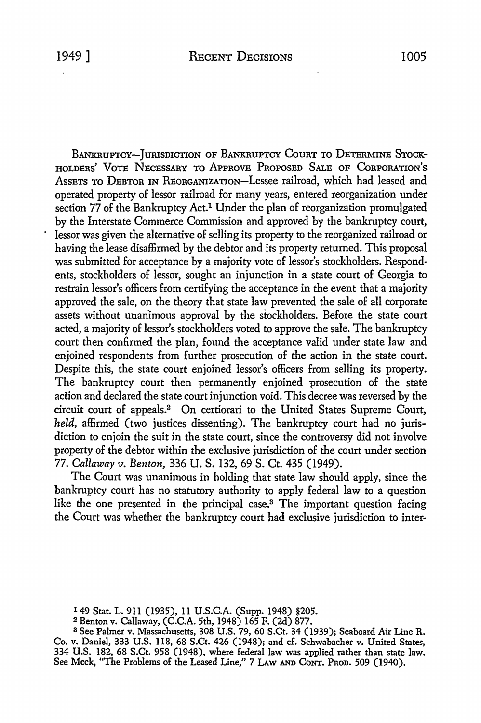BANKRUPTCY-JURISDICTION OF BANKRUPTCY COURT TO DETERMINE STOCK-HOLDERs' VoTE NECESSARY To APPROVE PROPOSED SALE oF CoRPORATioN's AssETS To DEBTOR IN REORGANIZATION-Lessee railroad, which had leased and operated property of lessor railroad for many years, entered reorganization under section 77 of the Bankruptcy Act.<sup>1</sup> Under the plan of reorganization promulgated by the Interstate Commerce Commission and approved by the bankruptcy court, lessor was given the alternative of selling its property to the reorganized railroad or having the lease disaffirmed by the debtor and its property returned. This proposal was submitted for acceptance by a majority vote of lessor's stockholders. Respondents, stockholders of lessor, sought an injunction in a state court of Georgia to restrain lessor's officers from certifying the acceptance in the event that a majority approved the sale, on the theory that state law prevented the sale of all corporate assets without unanimous approval by the stockholders. Before the state court acted, a majority of lessor's stockholders voted to approve the sale. The bankruptcy court then confirmed the plan, found the acceptance valid under state law and enjoined respondents from further prosecution of the action in the state court. Despite this, the state court enjoined lessor's officers from selling its property. The bankruptcy court then permanently enjoined prosecution of the state action and declared the state court injunction void. This decree was reversed by the circuit court of appeals.2 On certiorari to the United States Supreme Court, *held,* affirmed (two justices dissenting). The bankruptcy court had no jurisdiction to enjoin the suit in the state court, since the controversy did not involve property of the debtor within the exclusive jurisdiction of the court under section 77. *Callaway v. Benton,* 336 U.S. 132, 69 S. Ct. 435 (1949).

The Court was unanimous in holding that state law should apply, since the bankruptcy court has no statutory authority to apply federal law to a question like the one presented in the principal case.<sup>3</sup> The important question facing the Court was whether the bankruptcy court had exclusive jurisdiction to inter-

2 Benton v. Callaway, (C.C.A. 5th, 1948) 165 F. (2d) 877.

<sup>1</sup> 49 Stat. L. 911 (1935), 11 U.S.C.A. (Supp. 1948) §205.

<sup>3</sup>See Palmer v. Massachusetts, 308 U.S. 79, 60 S.Ct. 34 (1939); Seaboard Air Line R. Co. v. Daniel, 333 U.S. 118, 68 S.Ct. 426 (1948); and cf. Schwabacher v. United States, 334 U.S. 182, 68 S.Ct. 958 (1948), where federal law was applied rather than state law. See Meck, "The Problems of the Leased Line," 7 Law and Cont. Prob. 509 (1940).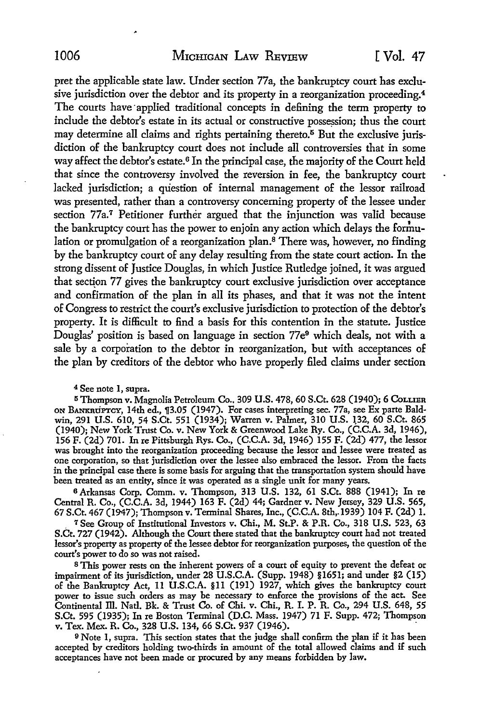pret the applicable state law. Under section 77a, the bankruptcy court has exclusive jurisdiction over the debtor and its property in a reorganization proceeding.<sup>4</sup> The courts have applied traditional concepts in defining the term property to include the debtor's estate in its actual or constructive possession; thus the court may determine all claims and rights pertaining thereto. $5$  But the exclusive jurisdiction of the bankruptcy court does not include all controversies that in some way affect the debtor's estate.6 In the principal case, the majority of the Court held that since the controversy involved the reversion in fee, the bankruptcy court lacked jurisdiction; a question of internal management of the lessor railroad was presented, rather than a controversy concerning property of the lessee under section 77a.<sup>7</sup> Petitioner further argued that the injunction was valid because the bankruptcy court has the power to enjoin any action which delays the forihulation or promulgation of a reorganization plan.<sup>8</sup> There was, however, no finding by the bankruptcy court of any delay resulting from the state court action. In the strong dissent of Justice Douglas, in which Justice Rutledge joined, it was argued that section 77 gives the bankruptcy court exclusive jurisdiction over acceptance and confirmation of the plan in all its phases, and that it was not the intent of Congress to restrict the court's exclusive jurisdiction to protection of the debtor's property. It is difficult to find a basis for this contention in the statute. Justice Douglas' position is based on language in section 77e<sup>9</sup> which deals, not with a sale by a corporation to the debtor in reorganization, hut with acceptances of the plan by creditors of the debtor who have properly filed claims under section

<sup>4</sup> See note 1, supra.<br>5 Thompson v. Magnolia Petroleum Co., 309 U.S. 478, 60 S.Ct. 628 (1940); 6 Соьынн 5 Thompson v. Magnolia Petroleum Co .. 309 U.S. 478, 60 S.Ct. 628 (1940); 6 CoLLIER ON BANKRUPTCY, 14th ed., ,r3.05 (1947). For cases interpreting sec. 77a, see Ex parte Baldwin, 291 U.S. 610, 54 S.Ct. 551 (1934); Warren v. Palmer, 310 U.S. 132, 60 S.Ct. 865 (1940); New York Trust Co. v. New York & Greenwood Lake Ry. Co., (C.C.A. 3d, 1946), 156 F. (2d) 701. In re Pittsburgh Rys. Co., (C.C.A. 3d, 1946) 155 F. (2d) 477, the lessor was brought into the reorganization proceeding because the lessor and lessee were treated as one corporation, so that jurisdiction over the lessee also embraced the lessor. From the facts in the principal case there is some basis for arguing that the transportation system should have been treated as an entity, since it was operated as a single unit for many years.

<sup>6</sup>Arkansas Corp. Comm. v. Thompson, 313 U.S. 132, 61 S.Ct. 888 (1941); In re Central R. Co., (C.C.A. 3d, 1944) 163 F. (2d) 44; Gardner v. New Jersey, 329 U.S. 565, 67 S.Ct. 467 (1947); Thompson v. Terminal Shares, Inc., (C.C.A. 8th,. 1939) 104 F. (2d) I.

<sup>7</sup> See Group of Institutional Investors v. Chi., M. St.P. & P.R. Co., 318 U.S. 523, 63 S.Ct. 727 (1942). Although the Court there stated that the bankruptcy court had not treated lessor's property as property of the lessee debtor for reorganization purposes, the question of the court's power to do so was not raised.

s This power rests on the inherent powers of a court of equity to prevent the defeat or impairment of its jurisdiction, under 28 **U.S.C.A.** (Supp. 1948) §1651; and under §2 (15) of the Bankruptcy Act, 11 U.S.C.A. §11 (191) 1927, which gives the bankruptcy court power to issue such orders as may be necessary to enforce the provisions of the act. See Continental ill. Natl. Bk. & Trust Co. of Chi. v. Chi., R. I. P. R. Co., 294 U.S. 648, 55 S.Ct, 595 (1935); In re Boston Terminal (D.C. Mass. 1947) 71 F. Supp. 472; Thompson v. Tex. Mex. R. Co., 328 U.S. 134, 66 S.Ct. 937 (1946). .

<sup>9</sup> Note 1, supra. This section states that the judge shall confirm the plan if it has been accepted by creditors holding two-thirds in amount of the total allowed claims and if such acceptances have not been made or procured by any means forbidden by law.